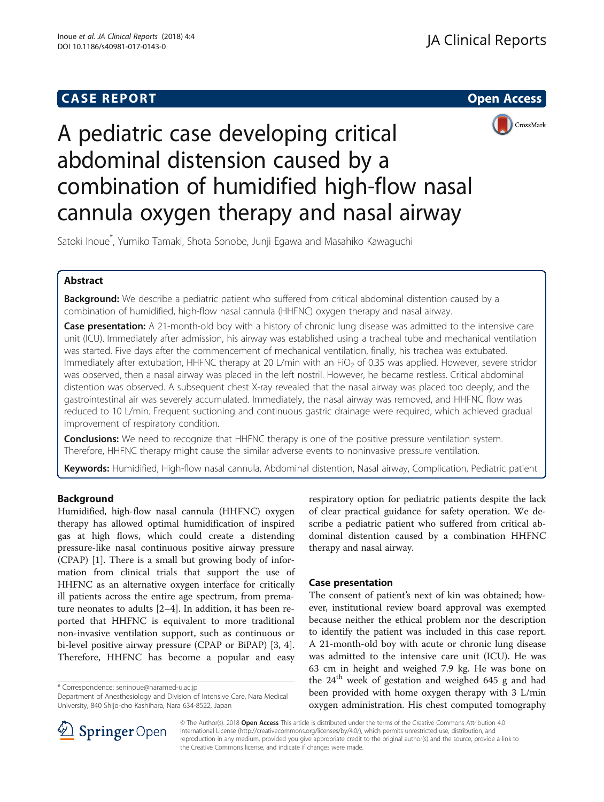# **CASE REPORT And SERVICE SERVICE SERVICE SERVICE SERVICE SERVICE SERVICE SERVICE SERVICE SERVICE SERVICE SERVICE**





A pediatric case developing critical abdominal distension caused by a combination of humidified high-flow nasal cannula oxygen therapy and nasal airway

Satoki Inoue\* , Yumiko Tamaki, Shota Sonobe, Junji Egawa and Masahiko Kawaguchi

# Abstract

Background: We describe a pediatric patient who suffered from critical abdominal distention caused by a combination of humidified, high-flow nasal cannula (HHFNC) oxygen therapy and nasal airway.

Case presentation: A 21-month-old boy with a history of chronic lung disease was admitted to the intensive care unit (ICU). Immediately after admission, his airway was established using a tracheal tube and mechanical ventilation was started. Five days after the commencement of mechanical ventilation, finally, his trachea was extubated. Immediately after extubation, HHFNC therapy at 20 L/min with an FiO<sub>2</sub> of 0.35 was applied. However, severe stridor was observed, then a nasal airway was placed in the left nostril. However, he became restless. Critical abdominal distention was observed. A subsequent chest X-ray revealed that the nasal airway was placed too deeply, and the gastrointestinal air was severely accumulated. Immediately, the nasal airway was removed, and HHFNC flow was reduced to 10 L/min. Frequent suctioning and continuous gastric drainage were required, which achieved gradual improvement of respiratory condition.

**Conclusions:** We need to recognize that HHFNC therapy is one of the positive pressure ventilation system. Therefore, HHFNC therapy might cause the similar adverse events to noninvasive pressure ventilation.

Keywords: Humidified, High-flow nasal cannula, Abdominal distention, Nasal airway, Complication, Pediatric patient

# Background

Humidified, high-flow nasal cannula (HHFNC) oxygen therapy has allowed optimal humidification of inspired gas at high flows, which could create a distending pressure-like nasal continuous positive airway pressure (CPAP) [[1\]](#page-2-0). There is a small but growing body of information from clinical trials that support the use of HHFNC as an alternative oxygen interface for critically ill patients across the entire age spectrum, from premature neonates to adults [\[2](#page-2-0)–[4\]](#page-2-0). In addition, it has been reported that HHFNC is equivalent to more traditional non-invasive ventilation support, such as continuous or bi-level positive airway pressure (CPAP or BiPAP) [[3, 4](#page-2-0)]. Therefore, HHFNC has become a popular and easy

\* Correspondence: [seninoue@naramed-u.ac.jp](mailto:seninoue@naramed-u.ac.jp)

Department of Anesthesiology and Division of Intensive Care, Nara Medical University, 840 Shijo-cho Kashihara, Nara 634-8522, Japan

respiratory option for pediatric patients despite the lack of clear practical guidance for safety operation. We describe a pediatric patient who suffered from critical abdominal distention caused by a combination HHFNC therapy and nasal airway.

# Case presentation

The consent of patient's next of kin was obtained; however, institutional review board approval was exempted because neither the ethical problem nor the description to identify the patient was included in this case report. A 21-month-old boy with acute or chronic lung disease was admitted to the intensive care unit (ICU). He was 63 cm in height and weighed 7.9 kg. He was bone on the 24<sup>th</sup> week of gestation and weighed 645 g and had been provided with home oxygen therapy with 3 L/min oxygen administration. His chest computed tomography



© The Author(s). 2018 Open Access This article is distributed under the terms of the Creative Commons Attribution 4.0 International License ([http://creativecommons.org/licenses/by/4.0/\)](http://creativecommons.org/licenses/by/4.0/), which permits unrestricted use, distribution, and reproduction in any medium, provided you give appropriate credit to the original author(s) and the source, provide a link to the Creative Commons license, and indicate if changes were made.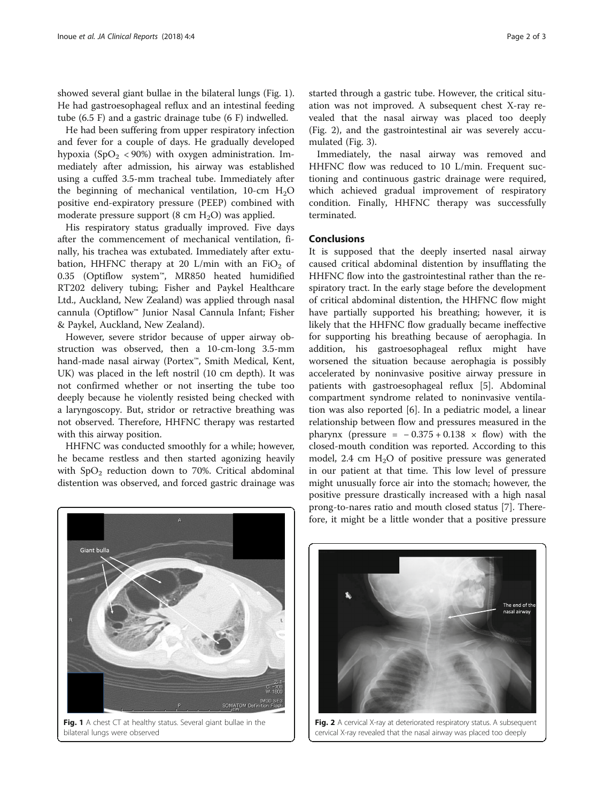showed several giant bullae in the bilateral lungs (Fig. 1). He had gastroesophageal reflux and an intestinal feeding tube (6.5 F) and a gastric drainage tube (6 F) indwelled.

He had been suffering from upper respiratory infection and fever for a couple of days. He gradually developed hypoxia (SpO<sub>2</sub> < 90%) with oxygen administration. Immediately after admission, his airway was established using a cuffed 3.5-mm tracheal tube. Immediately after the beginning of mechanical ventilation,  $10$ -cm  $H_2O$ positive end-expiratory pressure (PEEP) combined with moderate pressure support  $(8 \text{ cm } H_2O)$  was applied.

His respiratory status gradually improved. Five days after the commencement of mechanical ventilation, finally, his trachea was extubated. Immediately after extubation, HHFNC therapy at 20 L/min with an  $FiO<sub>2</sub>$  of 0.35 (Optiflow system™, MR850 heated humidified RT202 delivery tubing; Fisher and Paykel Healthcare Ltd., Auckland, New Zealand) was applied through nasal cannula (Optiflow™ Junior Nasal Cannula Infant; Fisher & Paykel, Auckland, New Zealand).

However, severe stridor because of upper airway obstruction was observed, then a 10-cm-long 3.5-mm hand-made nasal airway (Portex™, Smith Medical, Kent, UK) was placed in the left nostril (10 cm depth). It was not confirmed whether or not inserting the tube too deeply because he violently resisted being checked with a laryngoscopy. But, stridor or retractive breathing was not observed. Therefore, HHFNC therapy was restarted with this airway position.

HHFNC was conducted smoothly for a while; however, he became restless and then started agonizing heavily with  $SpO<sub>2</sub>$  reduction down to 70%. Critical abdominal distention was observed, and forced gastric drainage was

started through a gastric tube. However, the critical situation was not improved. A subsequent chest X-ray revealed that the nasal airway was placed too deeply (Fig. 2), and the gastrointestinal air was severely accumulated (Fig. [3](#page-2-0)).

Immediately, the nasal airway was removed and HHFNC flow was reduced to 10 L/min. Frequent suctioning and continuous gastric drainage were required, which achieved gradual improvement of respiratory condition. Finally, HHFNC therapy was successfully terminated.

### Conclusions

It is supposed that the deeply inserted nasal airway caused critical abdominal distention by insufflating the HHFNC flow into the gastrointestinal rather than the respiratory tract. In the early stage before the development of critical abdominal distention, the HHFNC flow might have partially supported his breathing; however, it is likely that the HHFNC flow gradually became ineffective for supporting his breathing because of aerophagia. In addition, his gastroesophageal reflux might have worsened the situation because aerophagia is possibly accelerated by noninvasive positive airway pressure in patients with gastroesophageal reflux [\[5](#page-2-0)]. Abdominal compartment syndrome related to noninvasive ventilation was also reported [[6\]](#page-2-0). In a pediatric model, a linear relationship between flow and pressures measured in the pharynx (pressure =  $-0.375 + 0.138 \times$  flow) with the closed-mouth condition was reported. According to this model, 2.4 cm  $H_2O$  of positive pressure was generated in our patient at that time. This low level of pressure might unusually force air into the stomach; however, the positive pressure drastically increased with a high nasal prong-to-nares ratio and mouth closed status [\[7](#page-2-0)]. Therefore, it might be a little wonder that a positive pressure



Fig. 1 A chest CT at healthy status. Several giant bullae in the bilateral lungs were observed



Fig. 2 A cervical X-ray at deteriorated respiratory status. A subsequent cervical X-ray revealed that the nasal airway was placed too deeply